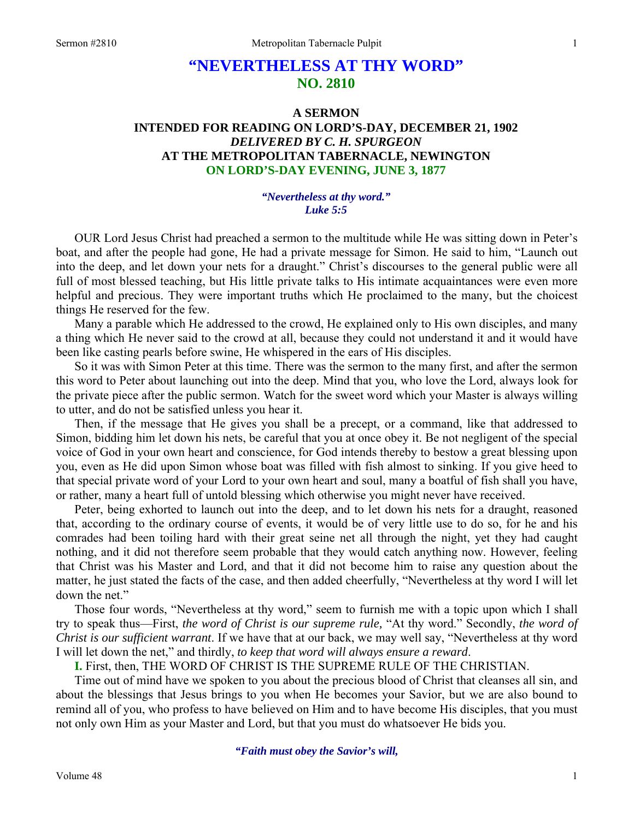# **"NEVERTHELESS AT THY WORD" NO. 2810**

### **A SERMON INTENDED FOR READING ON LORD'S-DAY, DECEMBER 21, 1902**  *DELIVERED BY C. H. SPURGEON*  **AT THE METROPOLITAN TABERNACLE, NEWINGTON ON LORD'S-DAY EVENING, JUNE 3, 1877**

#### *"Nevertheless at thy word." Luke 5:5*

OUR Lord Jesus Christ had preached a sermon to the multitude while He was sitting down in Peter's boat, and after the people had gone, He had a private message for Simon. He said to him, "Launch out into the deep, and let down your nets for a draught." Christ's discourses to the general public were all full of most blessed teaching, but His little private talks to His intimate acquaintances were even more helpful and precious. They were important truths which He proclaimed to the many, but the choicest things He reserved for the few.

Many a parable which He addressed to the crowd, He explained only to His own disciples, and many a thing which He never said to the crowd at all, because they could not understand it and it would have been like casting pearls before swine, He whispered in the ears of His disciples.

So it was with Simon Peter at this time. There was the sermon to the many first, and after the sermon this word to Peter about launching out into the deep. Mind that you, who love the Lord, always look for the private piece after the public sermon. Watch for the sweet word which your Master is always willing to utter, and do not be satisfied unless you hear it.

Then, if the message that He gives you shall be a precept, or a command, like that addressed to Simon, bidding him let down his nets, be careful that you at once obey it. Be not negligent of the special voice of God in your own heart and conscience, for God intends thereby to bestow a great blessing upon you, even as He did upon Simon whose boat was filled with fish almost to sinking. If you give heed to that special private word of your Lord to your own heart and soul, many a boatful of fish shall you have, or rather, many a heart full of untold blessing which otherwise you might never have received.

Peter, being exhorted to launch out into the deep, and to let down his nets for a draught, reasoned that, according to the ordinary course of events, it would be of very little use to do so, for he and his comrades had been toiling hard with their great seine net all through the night, yet they had caught nothing, and it did not therefore seem probable that they would catch anything now. However, feeling that Christ was his Master and Lord, and that it did not become him to raise any question about the matter, he just stated the facts of the case, and then added cheerfully, "Nevertheless at thy word I will let down the net."

Those four words, "Nevertheless at thy word," seem to furnish me with a topic upon which I shall try to speak thus—First, *the word of Christ is our supreme rule,* "At thy word." Secondly, *the word of Christ is our sufficient warrant*. If we have that at our back, we may well say, "Nevertheless at thy word I will let down the net," and thirdly, *to keep that word will always ensure a reward*.

**I.** First, then, THE WORD OF CHRIST IS THE SUPREME RULE OF THE CHRISTIAN.

Time out of mind have we spoken to you about the precious blood of Christ that cleanses all sin, and about the blessings that Jesus brings to you when He becomes your Savior, but we are also bound to remind all of you, who profess to have believed on Him and to have become His disciples, that you must not only own Him as your Master and Lord, but that you must do whatsoever He bids you.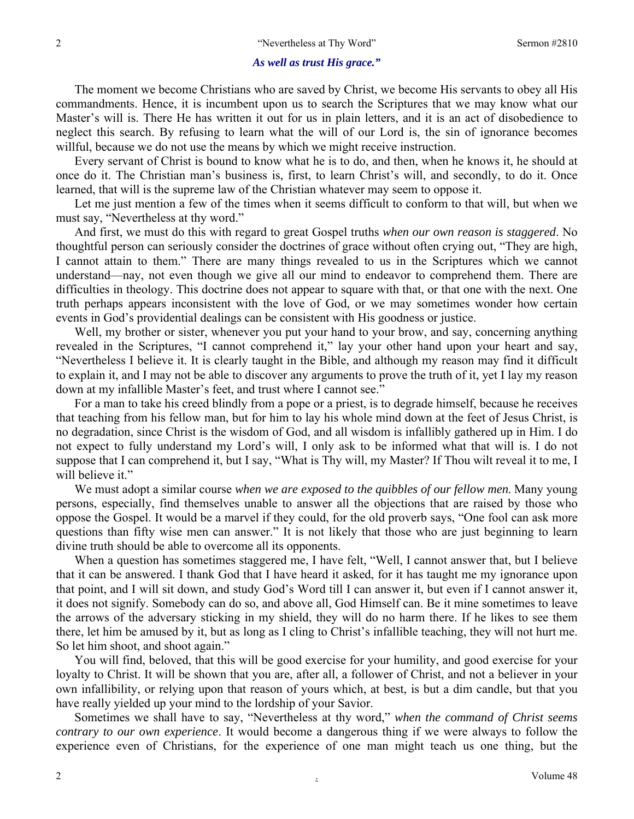#### *As well as trust His grace."*

The moment we become Christians who are saved by Christ, we become His servants to obey all His commandments. Hence, it is incumbent upon us to search the Scriptures that we may know what our Master's will is. There He has written it out for us in plain letters, and it is an act of disobedience to neglect this search. By refusing to learn what the will of our Lord is, the sin of ignorance becomes willful, because we do not use the means by which we might receive instruction.

Every servant of Christ is bound to know what he is to do, and then, when he knows it, he should at once do it. The Christian man's business is, first, to learn Christ's will, and secondly, to do it. Once learned, that will is the supreme law of the Christian whatever may seem to oppose it.

Let me just mention a few of the times when it seems difficult to conform to that will, but when we must say, "Nevertheless at thy word."

And first, we must do this with regard to great Gospel truths *when our own reason is staggered*. No thoughtful person can seriously consider the doctrines of grace without often crying out, "They are high, I cannot attain to them." There are many things revealed to us in the Scriptures which we cannot understand—nay, not even though we give all our mind to endeavor to comprehend them. There are difficulties in theology. This doctrine does not appear to square with that, or that one with the next. One truth perhaps appears inconsistent with the love of God, or we may sometimes wonder how certain events in God's providential dealings can be consistent with His goodness or justice.

Well, my brother or sister, whenever you put your hand to your brow, and say, concerning anything revealed in the Scriptures, "I cannot comprehend it," lay your other hand upon your heart and say, "Nevertheless I believe it. It is clearly taught in the Bible, and although my reason may find it difficult to explain it, and I may not be able to discover any arguments to prove the truth of it, yet I lay my reason down at my infallible Master's feet, and trust where I cannot see."

For a man to take his creed blindly from a pope or a priest, is to degrade himself, because he receives that teaching from his fellow man, but for him to lay his whole mind down at the feet of Jesus Christ, is no degradation, since Christ is the wisdom of God, and all wisdom is infallibly gathered up in Him. I do not expect to fully understand my Lord's will, I only ask to be informed what that will is. I do not suppose that I can comprehend it, but I say, "What is Thy will, my Master? If Thou wilt reveal it to me, I will believe it."

We must adopt a similar course *when we are exposed to the quibbles of our fellow men*. Many young persons, especially, find themselves unable to answer all the objections that are raised by those who oppose the Gospel. It would be a marvel if they could, for the old proverb says, "One fool can ask more questions than fifty wise men can answer." It is not likely that those who are just beginning to learn divine truth should be able to overcome all its opponents.

When a question has sometimes staggered me, I have felt, "Well, I cannot answer that, but I believe that it can be answered. I thank God that I have heard it asked, for it has taught me my ignorance upon that point, and I will sit down, and study God's Word till I can answer it, but even if I cannot answer it, it does not signify. Somebody can do so, and above all, God Himself can. Be it mine sometimes to leave the arrows of the adversary sticking in my shield, they will do no harm there. If he likes to see them there, let him be amused by it, but as long as I cling to Christ's infallible teaching, they will not hurt me. So let him shoot, and shoot again."

You will find, beloved, that this will be good exercise for your humility, and good exercise for your loyalty to Christ. It will be shown that you are, after all, a follower of Christ, and not a believer in your own infallibility, or relying upon that reason of yours which, at best, is but a dim candle, but that you have really yielded up your mind to the lordship of your Savior.

Sometimes we shall have to say, "Nevertheless at thy word," *when the command of Christ seems contrary to our own experience*. It would become a dangerous thing if we were always to follow the experience even of Christians, for the experience of one man might teach us one thing, but the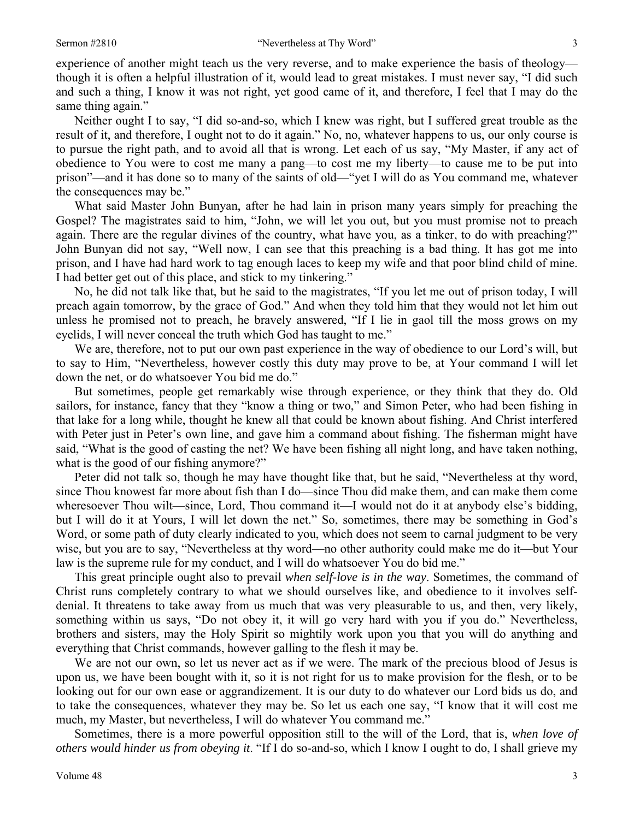experience of another might teach us the very reverse, and to make experience the basis of theology though it is often a helpful illustration of it, would lead to great mistakes. I must never say, "I did such and such a thing, I know it was not right, yet good came of it, and therefore, I feel that I may do the same thing again."

Neither ought I to say, "I did so-and-so, which I knew was right, but I suffered great trouble as the result of it, and therefore, I ought not to do it again." No, no, whatever happens to us, our only course is to pursue the right path, and to avoid all that is wrong. Let each of us say, "My Master, if any act of obedience to You were to cost me many a pang—to cost me my liberty—to cause me to be put into prison"—and it has done so to many of the saints of old—"yet I will do as You command me, whatever the consequences may be."

What said Master John Bunyan, after he had lain in prison many years simply for preaching the Gospel? The magistrates said to him, "John, we will let you out, but you must promise not to preach again. There are the regular divines of the country, what have you, as a tinker, to do with preaching?" John Bunyan did not say, "Well now, I can see that this preaching is a bad thing. It has got me into prison, and I have had hard work to tag enough laces to keep my wife and that poor blind child of mine. I had better get out of this place, and stick to my tinkering."

No, he did not talk like that, but he said to the magistrates, "If you let me out of prison today, I will preach again tomorrow, by the grace of God." And when they told him that they would not let him out unless he promised not to preach, he bravely answered, "If I lie in gaol till the moss grows on my eyelids, I will never conceal the truth which God has taught to me."

We are, therefore, not to put our own past experience in the way of obedience to our Lord's will, but to say to Him, "Nevertheless, however costly this duty may prove to be, at Your command I will let down the net, or do whatsoever You bid me do."

But sometimes, people get remarkably wise through experience, or they think that they do. Old sailors, for instance, fancy that they "know a thing or two," and Simon Peter, who had been fishing in that lake for a long while, thought he knew all that could be known about fishing. And Christ interfered with Peter just in Peter's own line, and gave him a command about fishing. The fisherman might have said, "What is the good of casting the net? We have been fishing all night long, and have taken nothing, what is the good of our fishing anymore?"

Peter did not talk so, though he may have thought like that, but he said, "Nevertheless at thy word, since Thou knowest far more about fish than I do—since Thou did make them, and can make them come wheresoever Thou wilt—since, Lord, Thou command it—I would not do it at anybody else's bidding, but I will do it at Yours, I will let down the net." So, sometimes, there may be something in God's Word, or some path of duty clearly indicated to you, which does not seem to carnal judgment to be very wise, but you are to say, "Nevertheless at thy word—no other authority could make me do it—but Your law is the supreme rule for my conduct, and I will do whatsoever You do bid me."

This great principle ought also to prevail *when self-love is in the way*. Sometimes, the command of Christ runs completely contrary to what we should ourselves like, and obedience to it involves selfdenial. It threatens to take away from us much that was very pleasurable to us, and then, very likely, something within us says, "Do not obey it, it will go very hard with you if you do." Nevertheless, brothers and sisters, may the Holy Spirit so mightily work upon you that you will do anything and everything that Christ commands, however galling to the flesh it may be.

We are not our own, so let us never act as if we were. The mark of the precious blood of Jesus is upon us, we have been bought with it, so it is not right for us to make provision for the flesh, or to be looking out for our own ease or aggrandizement. It is our duty to do whatever our Lord bids us do, and to take the consequences, whatever they may be. So let us each one say, "I know that it will cost me much, my Master, but nevertheless, I will do whatever You command me."

Sometimes, there is a more powerful opposition still to the will of the Lord, that is, *when love of others would hinder us from obeying it*. "If I do so-and-so, which I know I ought to do, I shall grieve my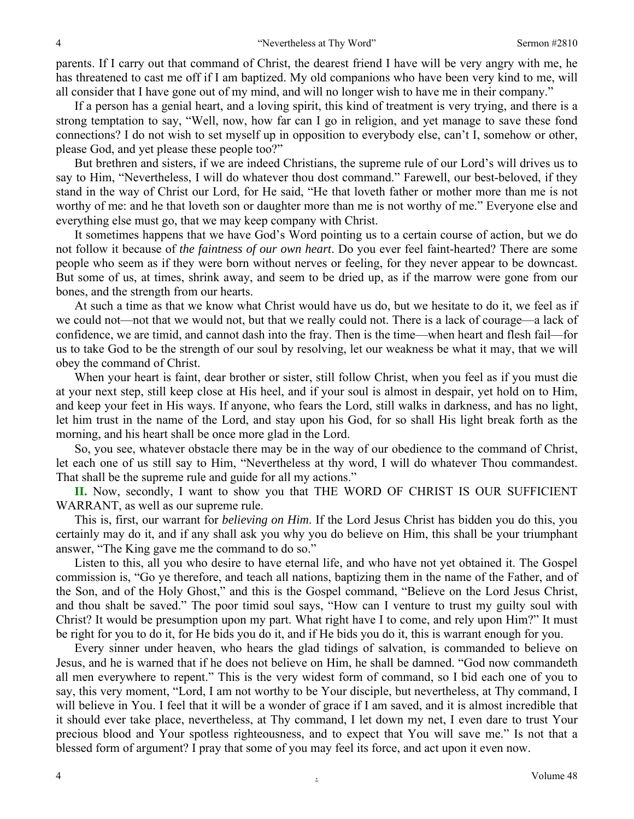parents. If I carry out that command of Christ, the dearest friend I have will be very angry with me, he has threatened to cast me off if I am baptized. My old companions who have been very kind to me, will all consider that I have gone out of my mind, and will no longer wish to have me in their company."

If a person has a genial heart, and a loving spirit, this kind of treatment is very trying, and there is a strong temptation to say, "Well, now, how far can I go in religion, and yet manage to save these fond connections? I do not wish to set myself up in opposition to everybody else, can't I, somehow or other, please God, and yet please these people too?"

But brethren and sisters, if we are indeed Christians, the supreme rule of our Lord's will drives us to say to Him, "Nevertheless, I will do whatever thou dost command." Farewell, our best-beloved, if they stand in the way of Christ our Lord, for He said, "He that loveth father or mother more than me is not worthy of me: and he that loveth son or daughter more than me is not worthy of me." Everyone else and everything else must go, that we may keep company with Christ.

It sometimes happens that we have God's Word pointing us to a certain course of action, but we do not follow it because of *the faintness of our own heart*. Do you ever feel faint-hearted? There are some people who seem as if they were born without nerves or feeling, for they never appear to be downcast. But some of us, at times, shrink away, and seem to be dried up, as if the marrow were gone from our bones, and the strength from our hearts.

At such a time as that we know what Christ would have us do, but we hesitate to do it, we feel as if we could not—not that we would not, but that we really could not. There is a lack of courage—a lack of confidence, we are timid, and cannot dash into the fray. Then is the time—when heart and flesh fail—for us to take God to be the strength of our soul by resolving, let our weakness be what it may, that we will obey the command of Christ.

When your heart is faint, dear brother or sister, still follow Christ, when you feel as if you must die at your next step, still keep close at His heel, and if your soul is almost in despair, yet hold on to Him, and keep your feet in His ways. If anyone, who fears the Lord, still walks in darkness, and has no light, let him trust in the name of the Lord, and stay upon his God, for so shall His light break forth as the morning, and his heart shall be once more glad in the Lord.

So, you see, whatever obstacle there may be in the way of our obedience to the command of Christ, let each one of us still say to Him, "Nevertheless at thy word, I will do whatever Thou commandest. That shall be the supreme rule and guide for all my actions."

**II.** Now, secondly, I want to show you that THE WORD OF CHRIST IS OUR SUFFICIENT WARRANT, as well as our supreme rule.

This is, first, our warrant for *believing on Him*. If the Lord Jesus Christ has bidden you do this, you certainly may do it, and if any shall ask you why you do believe on Him, this shall be your triumphant answer, "The King gave me the command to do so."

Listen to this, all you who desire to have eternal life, and who have not yet obtained it. The Gospel commission is, "Go ye therefore, and teach all nations, baptizing them in the name of the Father, and of the Son, and of the Holy Ghost," and this is the Gospel command, "Believe on the Lord Jesus Christ, and thou shalt be saved." The poor timid soul says, "How can I venture to trust my guilty soul with Christ? It would be presumption upon my part. What right have I to come, and rely upon Him?" It must be right for you to do it, for He bids you do it, and if He bids you do it, this is warrant enough for you.

Every sinner under heaven, who hears the glad tidings of salvation, is commanded to believe on Jesus, and he is warned that if he does not believe on Him, he shall be damned. "God now commandeth all men everywhere to repent." This is the very widest form of command, so I bid each one of you to say, this very moment, "Lord, I am not worthy to be Your disciple, but nevertheless, at Thy command, I will believe in You. I feel that it will be a wonder of grace if I am saved, and it is almost incredible that it should ever take place, nevertheless, at Thy command, I let down my net, I even dare to trust Your precious blood and Your spotless righteousness, and to expect that You will save me." Is not that a blessed form of argument? I pray that some of you may feel its force, and act upon it even now.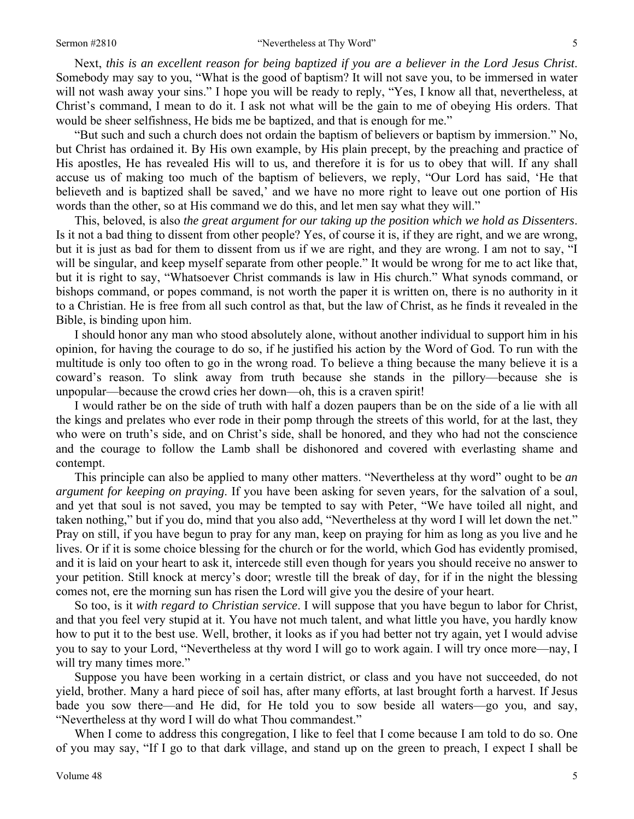Next, *this is an excellent reason for being baptized if you are a believer in the Lord Jesus Christ*. Somebody may say to you, "What is the good of baptism? It will not save you, to be immersed in water will not wash away your sins." I hope you will be ready to reply, "Yes, I know all that, nevertheless, at Christ's command, I mean to do it. I ask not what will be the gain to me of obeying His orders. That would be sheer selfishness, He bids me be baptized, and that is enough for me."

"But such and such a church does not ordain the baptism of believers or baptism by immersion." No, but Christ has ordained it. By His own example, by His plain precept, by the preaching and practice of His apostles, He has revealed His will to us, and therefore it is for us to obey that will. If any shall accuse us of making too much of the baptism of believers, we reply, "Our Lord has said, 'He that believeth and is baptized shall be saved,' and we have no more right to leave out one portion of His words than the other, so at His command we do this, and let men say what they will."

This, beloved, is also *the great argument for our taking up the position which we hold as Dissenters*. Is it not a bad thing to dissent from other people? Yes, of course it is, if they are right, and we are wrong, but it is just as bad for them to dissent from us if we are right, and they are wrong. I am not to say, "I will be singular, and keep myself separate from other people." It would be wrong for me to act like that, but it is right to say, "Whatsoever Christ commands is law in His church." What synods command, or bishops command, or popes command, is not worth the paper it is written on, there is no authority in it to a Christian. He is free from all such control as that, but the law of Christ, as he finds it revealed in the Bible, is binding upon him.

I should honor any man who stood absolutely alone, without another individual to support him in his opinion, for having the courage to do so, if he justified his action by the Word of God. To run with the multitude is only too often to go in the wrong road. To believe a thing because the many believe it is a coward's reason. To slink away from truth because she stands in the pillory—because she is unpopular—because the crowd cries her down—oh, this is a craven spirit!

I would rather be on the side of truth with half a dozen paupers than be on the side of a lie with all the kings and prelates who ever rode in their pomp through the streets of this world, for at the last, they who were on truth's side, and on Christ's side, shall be honored, and they who had not the conscience and the courage to follow the Lamb shall be dishonored and covered with everlasting shame and contempt.

This principle can also be applied to many other matters. "Nevertheless at thy word" ought to be *an argument for keeping on praying*. If you have been asking for seven years, for the salvation of a soul, and yet that soul is not saved, you may be tempted to say with Peter, "We have toiled all night, and taken nothing," but if you do, mind that you also add, "Nevertheless at thy word I will let down the net." Pray on still, if you have begun to pray for any man, keep on praying for him as long as you live and he lives. Or if it is some choice blessing for the church or for the world, which God has evidently promised, and it is laid on your heart to ask it, intercede still even though for years you should receive no answer to your petition. Still knock at mercy's door; wrestle till the break of day, for if in the night the blessing comes not, ere the morning sun has risen the Lord will give you the desire of your heart.

So too, is it *with regard to Christian service*. I will suppose that you have begun to labor for Christ, and that you feel very stupid at it. You have not much talent, and what little you have, you hardly know how to put it to the best use. Well, brother, it looks as if you had better not try again, yet I would advise you to say to your Lord, "Nevertheless at thy word I will go to work again. I will try once more—nay, I will try many times more."

Suppose you have been working in a certain district, or class and you have not succeeded, do not yield, brother. Many a hard piece of soil has, after many efforts, at last brought forth a harvest. If Jesus bade you sow there—and He did, for He told you to sow beside all waters—go you, and say, "Nevertheless at thy word I will do what Thou commandest."

When I come to address this congregation, I like to feel that I come because I am told to do so. One of you may say, "If I go to that dark village, and stand up on the green to preach, I expect I shall be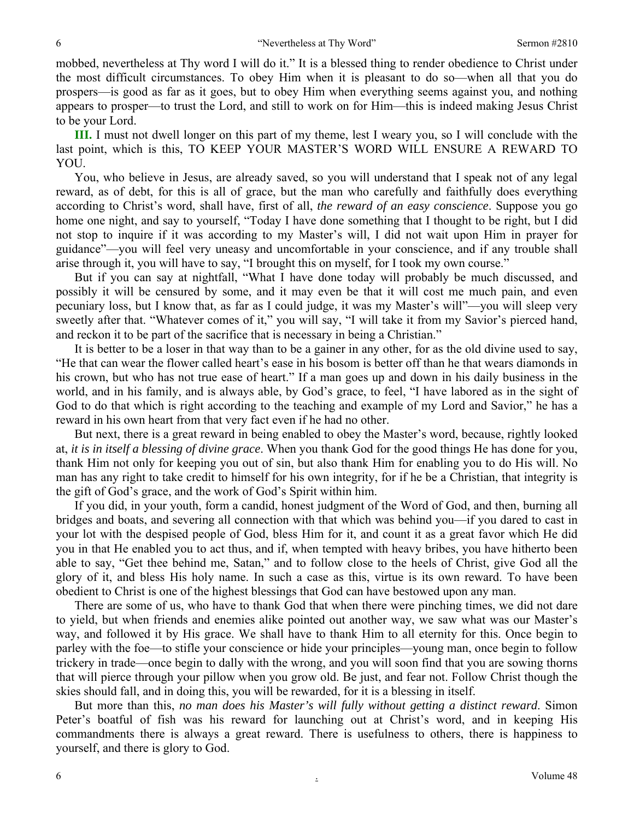mobbed, nevertheless at Thy word I will do it." It is a blessed thing to render obedience to Christ under the most difficult circumstances. To obey Him when it is pleasant to do so—when all that you do prospers—is good as far as it goes, but to obey Him when everything seems against you, and nothing appears to prosper—to trust the Lord, and still to work on for Him—this is indeed making Jesus Christ to be your Lord.

**III.** I must not dwell longer on this part of my theme, lest I weary you, so I will conclude with the last point, which is this, TO KEEP YOUR MASTER'S WORD WILL ENSURE A REWARD TO YOU.

You, who believe in Jesus, are already saved, so you will understand that I speak not of any legal reward, as of debt, for this is all of grace, but the man who carefully and faithfully does everything according to Christ's word, shall have, first of all, *the reward of an easy conscience*. Suppose you go home one night, and say to yourself, "Today I have done something that I thought to be right, but I did not stop to inquire if it was according to my Master's will, I did not wait upon Him in prayer for guidance"—you will feel very uneasy and uncomfortable in your conscience, and if any trouble shall arise through it, you will have to say, "I brought this on myself, for I took my own course."

But if you can say at nightfall, "What I have done today will probably be much discussed, and possibly it will be censured by some, and it may even be that it will cost me much pain, and even pecuniary loss, but I know that, as far as I could judge, it was my Master's will"—you will sleep very sweetly after that. "Whatever comes of it," you will say, "I will take it from my Savior's pierced hand, and reckon it to be part of the sacrifice that is necessary in being a Christian."

It is better to be a loser in that way than to be a gainer in any other, for as the old divine used to say, "He that can wear the flower called heart's ease in his bosom is better off than he that wears diamonds in his crown, but who has not true ease of heart." If a man goes up and down in his daily business in the world, and in his family, and is always able, by God's grace, to feel, "I have labored as in the sight of God to do that which is right according to the teaching and example of my Lord and Savior," he has a reward in his own heart from that very fact even if he had no other.

But next, there is a great reward in being enabled to obey the Master's word, because, rightly looked at, *it is in itself a blessing of divine grace*. When you thank God for the good things He has done for you, thank Him not only for keeping you out of sin, but also thank Him for enabling you to do His will. No man has any right to take credit to himself for his own integrity, for if he be a Christian, that integrity is the gift of God's grace, and the work of God's Spirit within him.

If you did, in your youth, form a candid, honest judgment of the Word of God, and then, burning all bridges and boats, and severing all connection with that which was behind you—if you dared to cast in your lot with the despised people of God, bless Him for it, and count it as a great favor which He did you in that He enabled you to act thus, and if, when tempted with heavy bribes, you have hitherto been able to say, "Get thee behind me, Satan," and to follow close to the heels of Christ, give God all the glory of it, and bless His holy name. In such a case as this, virtue is its own reward. To have been obedient to Christ is one of the highest blessings that God can have bestowed upon any man.

There are some of us, who have to thank God that when there were pinching times, we did not dare to yield, but when friends and enemies alike pointed out another way, we saw what was our Master's way, and followed it by His grace. We shall have to thank Him to all eternity for this. Once begin to parley with the foe—to stifle your conscience or hide your principles—young man, once begin to follow trickery in trade—once begin to dally with the wrong, and you will soon find that you are sowing thorns that will pierce through your pillow when you grow old. Be just, and fear not. Follow Christ though the skies should fall, and in doing this, you will be rewarded, for it is a blessing in itself.

But more than this, *no man does his Master's will fully without getting a distinct reward*. Simon Peter's boatful of fish was his reward for launching out at Christ's word, and in keeping His commandments there is always a great reward. There is usefulness to others, there is happiness to yourself, and there is glory to God.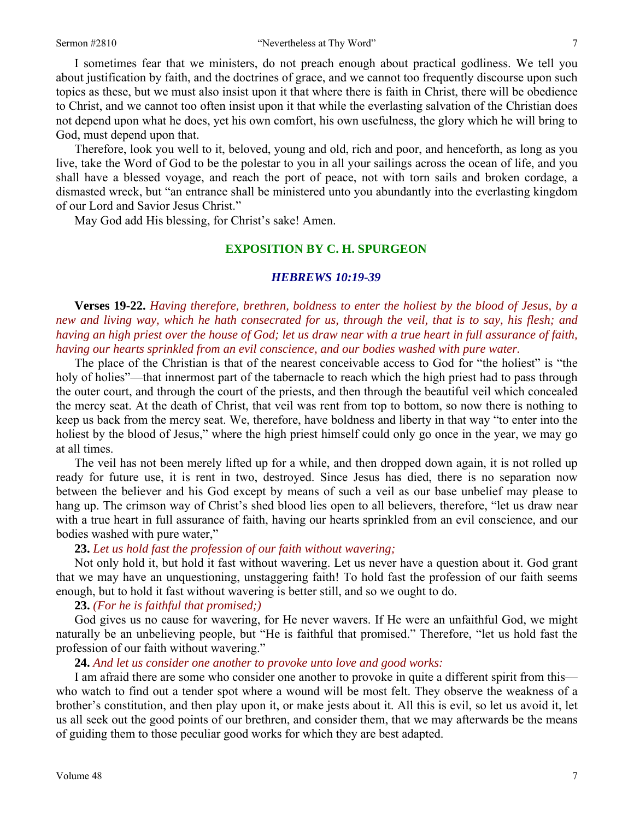I sometimes fear that we ministers, do not preach enough about practical godliness. We tell you about justification by faith, and the doctrines of grace, and we cannot too frequently discourse upon such topics as these, but we must also insist upon it that where there is faith in Christ, there will be obedience to Christ, and we cannot too often insist upon it that while the everlasting salvation of the Christian does not depend upon what he does, yet his own comfort, his own usefulness, the glory which he will bring to God, must depend upon that.

Therefore, look you well to it, beloved, young and old, rich and poor, and henceforth, as long as you live, take the Word of God to be the polestar to you in all your sailings across the ocean of life, and you shall have a blessed voyage, and reach the port of peace, not with torn sails and broken cordage, a dismasted wreck, but "an entrance shall be ministered unto you abundantly into the everlasting kingdom of our Lord and Savior Jesus Christ."

May God add His blessing, for Christ's sake! Amen.

#### **EXPOSITION BY C. H. SPURGEON**

#### *HEBREWS 10:19-39*

**Verses 19-22.** *Having therefore, brethren, boldness to enter the holiest by the blood of Jesus, by a new and living way, which he hath consecrated for us, through the veil, that is to say, his flesh; and having an high priest over the house of God; let us draw near with a true heart in full assurance of faith, having our hearts sprinkled from an evil conscience, and our bodies washed with pure water.* 

The place of the Christian is that of the nearest conceivable access to God for "the holiest" is "the holy of holies"—that innermost part of the tabernacle to reach which the high priest had to pass through the outer court, and through the court of the priests, and then through the beautiful veil which concealed the mercy seat. At the death of Christ, that veil was rent from top to bottom, so now there is nothing to keep us back from the mercy seat. We, therefore, have boldness and liberty in that way "to enter into the holiest by the blood of Jesus," where the high priest himself could only go once in the year, we may go at all times.

The veil has not been merely lifted up for a while, and then dropped down again, it is not rolled up ready for future use, it is rent in two, destroyed. Since Jesus has died, there is no separation now between the believer and his God except by means of such a veil as our base unbelief may please to hang up. The crimson way of Christ's shed blood lies open to all believers, therefore, "let us draw near with a true heart in full assurance of faith, having our hearts sprinkled from an evil conscience, and our bodies washed with pure water,"

#### **23.** *Let us hold fast the profession of our faith without wavering;*

Not only hold it, but hold it fast without wavering. Let us never have a question about it. God grant that we may have an unquestioning, unstaggering faith! To hold fast the profession of our faith seems enough, but to hold it fast without wavering is better still, and so we ought to do.

#### **23.** *(For he is faithful that promised;)*

God gives us no cause for wavering, for He never wavers. If He were an unfaithful God, we might naturally be an unbelieving people, but "He is faithful that promised." Therefore, "let us hold fast the profession of our faith without wavering."

#### **24.** *And let us consider one another to provoke unto love and good works:*

I am afraid there are some who consider one another to provoke in quite a different spirit from this who watch to find out a tender spot where a wound will be most felt. They observe the weakness of a brother's constitution, and then play upon it, or make jests about it. All this is evil, so let us avoid it, let us all seek out the good points of our brethren, and consider them, that we may afterwards be the means of guiding them to those peculiar good works for which they are best adapted.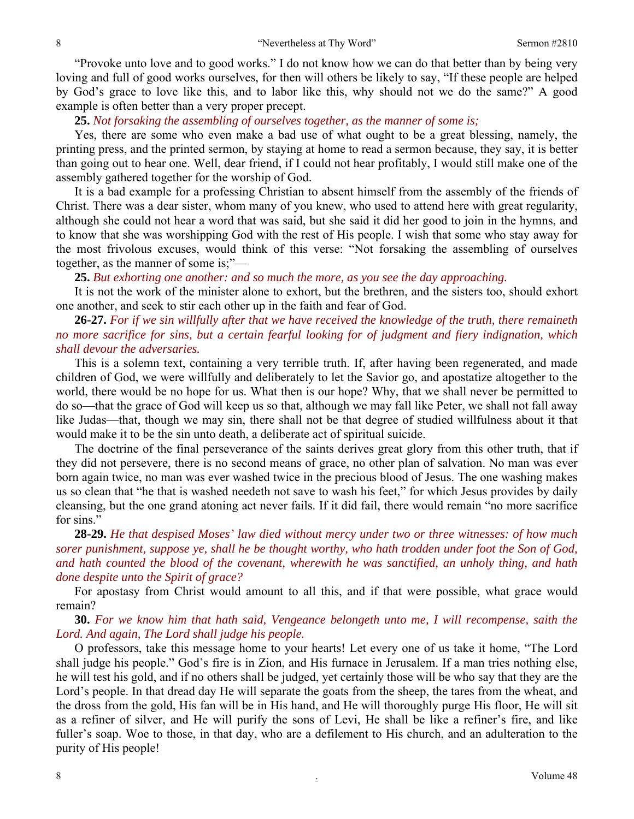"Provoke unto love and to good works." I do not know how we can do that better than by being very loving and full of good works ourselves, for then will others be likely to say, "If these people are helped by God's grace to love like this, and to labor like this, why should not we do the same?" A good example is often better than a very proper precept.

**25.** *Not forsaking the assembling of ourselves together, as the manner of some is;* 

Yes, there are some who even make a bad use of what ought to be a great blessing, namely, the printing press, and the printed sermon, by staying at home to read a sermon because, they say, it is better than going out to hear one. Well, dear friend, if I could not hear profitably, I would still make one of the assembly gathered together for the worship of God.

It is a bad example for a professing Christian to absent himself from the assembly of the friends of Christ. There was a dear sister, whom many of you knew, who used to attend here with great regularity, although she could not hear a word that was said, but she said it did her good to join in the hymns, and to know that she was worshipping God with the rest of His people. I wish that some who stay away for the most frivolous excuses, would think of this verse: "Not forsaking the assembling of ourselves together, as the manner of some is;"—

**25.** *But exhorting one another: and so much the more, as you see the day approaching.* 

It is not the work of the minister alone to exhort, but the brethren, and the sisters too, should exhort one another, and seek to stir each other up in the faith and fear of God.

### **26-27.** *For if we sin willfully after that we have received the knowledge of the truth, there remaineth no more sacrifice for sins, but a certain fearful looking for of judgment and fiery indignation, which shall devour the adversaries.*

This is a solemn text, containing a very terrible truth. If, after having been regenerated, and made children of God, we were willfully and deliberately to let the Savior go, and apostatize altogether to the world, there would be no hope for us. What then is our hope? Why, that we shall never be permitted to do so—that the grace of God will keep us so that, although we may fall like Peter, we shall not fall away like Judas—that, though we may sin, there shall not be that degree of studied willfulness about it that would make it to be the sin unto death, a deliberate act of spiritual suicide.

The doctrine of the final perseverance of the saints derives great glory from this other truth, that if they did not persevere, there is no second means of grace, no other plan of salvation. No man was ever born again twice, no man was ever washed twice in the precious blood of Jesus. The one washing makes us so clean that "he that is washed needeth not save to wash his feet," for which Jesus provides by daily cleansing, but the one grand atoning act never fails. If it did fail, there would remain "no more sacrifice for sins."

**28-29.** *He that despised Moses' law died without mercy under two or three witnesses: of how much sorer punishment, suppose ye, shall he be thought worthy, who hath trodden under foot the Son of God, and hath counted the blood of the covenant, wherewith he was sanctified, an unholy thing, and hath done despite unto the Spirit of grace?* 

For apostasy from Christ would amount to all this, and if that were possible, what grace would remain?

**30.** *For we know him that hath said, Vengeance belongeth unto me, I will recompense, saith the Lord. And again, The Lord shall judge his people.* 

O professors, take this message home to your hearts! Let every one of us take it home, "The Lord shall judge his people." God's fire is in Zion, and His furnace in Jerusalem. If a man tries nothing else, he will test his gold, and if no others shall be judged, yet certainly those will be who say that they are the Lord's people. In that dread day He will separate the goats from the sheep, the tares from the wheat, and the dross from the gold, His fan will be in His hand, and He will thoroughly purge His floor, He will sit as a refiner of silver, and He will purify the sons of Levi, He shall be like a refiner's fire, and like fuller's soap. Woe to those, in that day, who are a defilement to His church, and an adulteration to the purity of His people!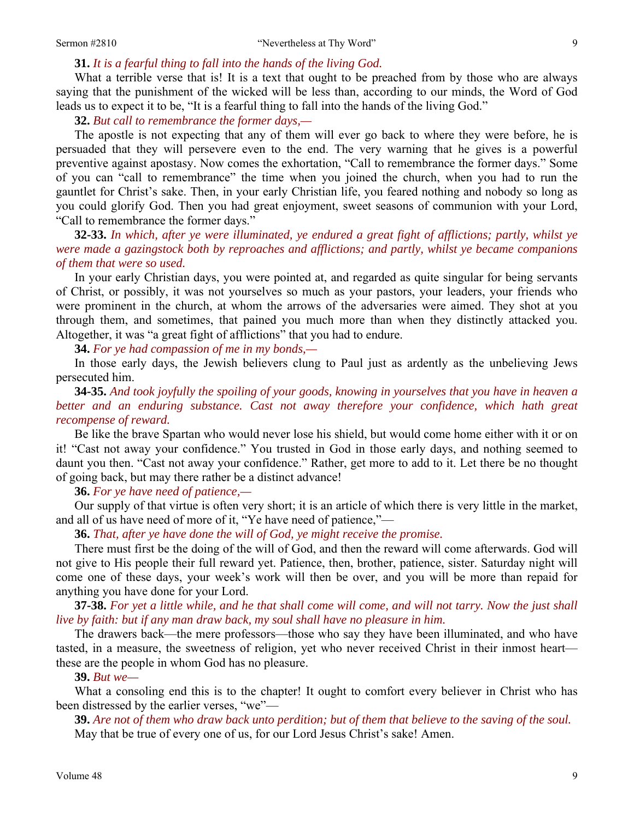#### **31.** *It is a fearful thing to fall into the hands of the living God.*

What a terrible verse that is! It is a text that ought to be preached from by those who are always saying that the punishment of the wicked will be less than, according to our minds, the Word of God leads us to expect it to be, "It is a fearful thing to fall into the hands of the living God."

**32.** *But call to remembrance the former days,—* 

The apostle is not expecting that any of them will ever go back to where they were before, he is persuaded that they will persevere even to the end. The very warning that he gives is a powerful preventive against apostasy. Now comes the exhortation, "Call to remembrance the former days." Some of you can "call to remembrance" the time when you joined the church, when you had to run the gauntlet for Christ's sake. Then, in your early Christian life, you feared nothing and nobody so long as you could glorify God. Then you had great enjoyment, sweet seasons of communion with your Lord, "Call to remembrance the former days."

**32-33.** *In which, after ye were illuminated, ye endured a great fight of afflictions; partly, whilst ye were made a gazingstock both by reproaches and afflictions; and partly, whilst ye became companions of them that were so used.* 

In your early Christian days, you were pointed at, and regarded as quite singular for being servants of Christ, or possibly, it was not yourselves so much as your pastors, your leaders, your friends who were prominent in the church, at whom the arrows of the adversaries were aimed. They shot at you through them, and sometimes, that pained you much more than when they distinctly attacked you. Altogether, it was "a great fight of afflictions" that you had to endure.

**34.** *For ye had compassion of me in my bonds,—* 

In those early days, the Jewish believers clung to Paul just as ardently as the unbelieving Jews persecuted him.

**34-35.** *And took joyfully the spoiling of your goods, knowing in yourselves that you have in heaven a better and an enduring substance. Cast not away therefore your confidence, which hath great recompense of reward.* 

Be like the brave Spartan who would never lose his shield, but would come home either with it or on it! "Cast not away your confidence." You trusted in God in those early days, and nothing seemed to daunt you then. "Cast not away your confidence." Rather, get more to add to it. Let there be no thought of going back, but may there rather be a distinct advance!

**36.** *For ye have need of patience,—* 

Our supply of that virtue is often very short; it is an article of which there is very little in the market, and all of us have need of more of it, "Ye have need of patience,"—

**36.** *That, after ye have done the will of God, ye might receive the promise.* 

There must first be the doing of the will of God, and then the reward will come afterwards. God will not give to His people their full reward yet. Patience, then, brother, patience, sister. Saturday night will come one of these days, your week's work will then be over, and you will be more than repaid for anything you have done for your Lord.

**37-38.** *For yet a little while, and he that shall come will come, and will not tarry. Now the just shall live by faith: but if any man draw back, my soul shall have no pleasure in him.* 

The drawers back—the mere professors—those who say they have been illuminated, and who have tasted, in a measure, the sweetness of religion, yet who never received Christ in their inmost heart these are the people in whom God has no pleasure.

**39.** *But we—* 

What a consoling end this is to the chapter! It ought to comfort every believer in Christ who has been distressed by the earlier verses, "we"—

**39.** *Are not of them who draw back unto perdition; but of them that believe to the saving of the soul.*  May that be true of every one of us, for our Lord Jesus Christ's sake! Amen.